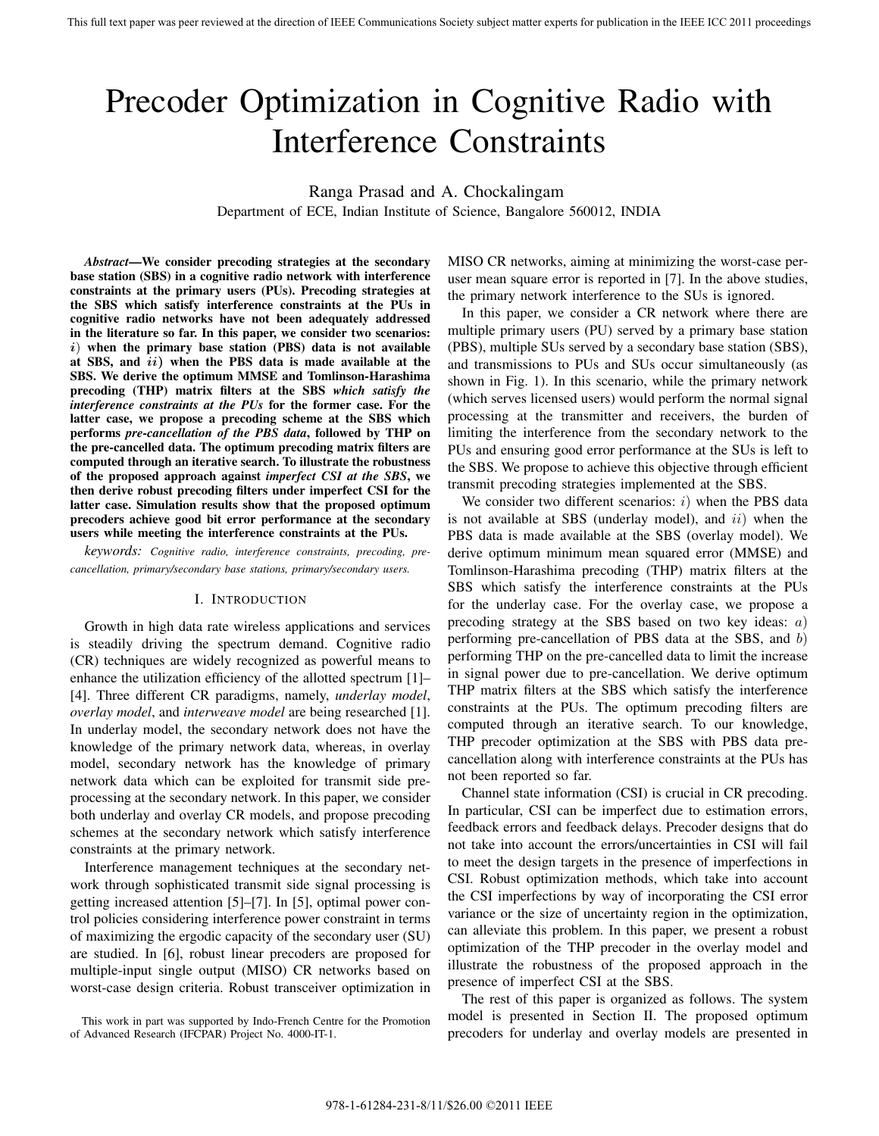# Precoder Optimization in Cognitive Radio with Interference Constraints

Ranga Prasad and A. Chockalingam

Department of ECE, Indian Institute of Science, Bangalore 560012, INDIA

*Abstract***—We consider precoding strategies at the secondary base station (SBS) in a cognitive radio network with interference constraints at the primary users (PUs). Precoding strategies at the SBS which satisfy interference constraints at the PUs in cognitive radio networks have not been adequately addressed in the literature so far. In this paper, we consider two scenarios:** *i*) **when the primary base station (PBS) data is not available at SBS, and** *ii***) when the PBS data is made available at the SBS. We derive the optimum MMSE and Tomlinson-Harashima precoding (THP) matrix filters at the SBS** *which satisfy the interference constraints at the PUs* **for the former case. For the latter case, we propose a precoding scheme at the SBS which performs** *pre-cancellation of the PBS data***, followed by THP on the pre-cancelled data. The optimum precoding matrix filters are computed through an iterative search. To illustrate the robustness of the proposed approach against** *imperfect CSI at the SBS***, we then derive robust precoding filters under imperfect CSI for the latter case. Simulation results show that the proposed optimum precoders achieve good bit error performance at the secondary users while meeting the interference constraints at the PUs.**

*keywords: Cognitive radio, interference constraints, precoding, precancellation, primary/secondary base stations, primary/secondary users.*

#### I. INTRODUCTION

Growth in high data rate wireless applications and services is steadily driving the spectrum demand. Cognitive radio (CR) techniques are widely recognized as powerful means to enhance the utilization efficiency of the allotted spectrum [1]– [4]. Three different CR paradigms, namely, *underlay model*, *overlay model*, and *interweave model* are being researched [1]. In underlay model, the secondary network does not have the knowledge of the primary network data, whereas, in overlay model, secondary network has the knowledge of primary network data which can be exploited for transmit side preprocessing at the secondary network. In this paper, we consider both underlay and overlay CR models, and propose precoding schemes at the secondary network which satisfy interference constraints at the primary network.

Interference management techniques at the secondary network through sophisticated transmit side signal processing is getting increased attention [5]–[7]. In [5], optimal power control policies considering interference power constraint in terms of maximizing the ergodic capacity of the secondary user (SU) are studied. In [6], robust linear precoders are proposed for multiple-input single output (MISO) CR networks based on worst-case design criteria. Robust transceiver optimization in

This work in part was supported by Indo-French Centre for the Promotion of Advanced Research (IFCPAR) Project No. 4000-IT-1.

MISO CR networks, aiming at minimizing the worst-case peruser mean square error is reported in [7]. In the above studies, the primary network interference to the SUs is ignored.

In this paper, we consider a CR network where there are multiple primary users (PU) served by a primary base station (PBS), multiple SUs served by a secondary base station (SBS), and transmissions to PUs and SUs occur simultaneously (as shown in Fig. 1). In this scenario, while the primary network (which serves licensed users) would perform the normal signal processing at the transmitter and receivers, the burden of limiting the interference from the secondary network to the PUs and ensuring good error performance at the SUs is left to the SBS. We propose to achieve this objective through efficient transmit precoding strategies implemented at the SBS.

We consider two different scenarios:  $i$ ) when the PBS data is not available at SBS (underlay model), and  $ii$ ) when the PBS data is made available at the SBS (overlay model). We derive optimum minimum mean squared error (MMSE) and Tomlinson-Harashima precoding (THP) matrix filters at the SBS which satisfy the interference constraints at the PUs for the underlay case. For the overlay case, we propose a precoding strategy at the SBS based on two key ideas:  $a$ ) performing pre-cancellation of PBS data at the SBS, and  $b$ ) performing THP on the pre-cancelled data to limit the increase in signal power due to pre-cancellation. We derive optimum THP matrix filters at the SBS which satisfy the interference constraints at the PUs. The optimum precoding filters are computed through an iterative search. To our knowledge, THP precoder optimization at the SBS with PBS data precancellation along with interference constraints at the PUs has not been reported so far.

Channel state information (CSI) is crucial in CR precoding. In particular, CSI can be imperfect due to estimation errors, feedback errors and feedback delays. Precoder designs that do not take into account the errors/uncertainties in CSI will fail to meet the design targets in the presence of imperfections in CSI. Robust optimization methods, which take into account the CSI imperfections by way of incorporating the CSI error variance or the size of uncertainty region in the optimization, can alleviate this problem. In this paper, we present a robust optimization of the THP precoder in the overlay model and illustrate the robustness of the proposed approach in the presence of imperfect CSI at the SBS.

The rest of this paper is organized as follows. The system model is presented in Section II. The proposed optimum precoders for underlay and overlay models are presented in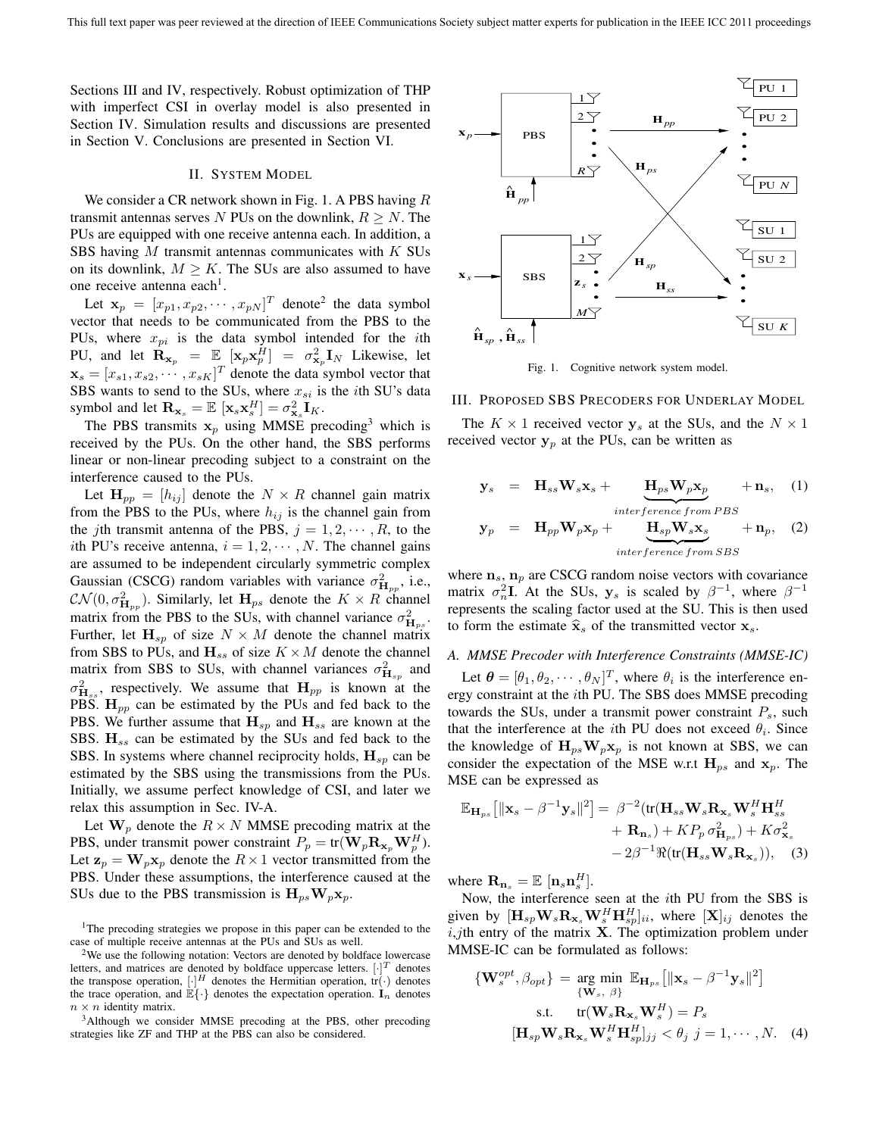Sections III and IV, respectively. Robust optimization of THP with imperfect CSI in overlay model is also presented in Section IV. Simulation results and discussions are presented in Section V. Conclusions are presented in Section VI.

# II. SYSTEM MODEL

We consider a CR network shown in Fig. 1. A PBS having  $R$ transmit antennas serves N PUs on the downlink,  $R \geq N$ . The PUs are equipped with one receive antenna each. In addition, a SBS having  $M$  transmit antennas communicates with  $K$  SUs on its downlink,  $M \geq K$ . The SUs are also assumed to have one receive antenna each<sup>1</sup>.

Let  $\mathbf{x}_p = [x_{p1}, x_{p2}, \cdots, x_{pN}]^T$  denote<sup>2</sup> the data symbol vector that needs to be communicated from the PBS to the PUs, where  $x_{pi}$  is the data symbol intended for the *i*th PU, and let  $\mathbf{R}_{\mathbf{x}_p} = \mathbb{E} [\mathbf{x}_p \mathbf{x}_p^H] = \sigma_{\mathbf{x}_p}^2 \mathbf{I}_N$  Likewise, let  $\mathbf{x}_s = [x_{s1}, x_{s2}, \cdots, x_{sK}]^T$  denote the data symbol vector that SBS wants to send to the SUs, where  $x_{si}$  is the *i*th SU's data symbol and let  $\mathbf{R}_{\mathbf{x}_s} = \mathbb{E} [\mathbf{x}_s \mathbf{x}_s^H] = \sigma_{\mathbf{x}_s}^2 \mathbf{I}_K$ .

The PBS transmits  $x_p$  using MMSE precoding<sup>3</sup> which is received by the PUs. On the other hand, the SBS performs linear or non-linear precoding subject to a constraint on the interference caused to the PUs.

Let  $\mathbf{H}_{pp} = [h_{ij}]$  denote the  $N \times R$  channel gain matrix from the PBS to the PUs, where  $h_{ij}$  is the channel gain from the jth transmit antenna of the PBS,  $j = 1, 2, \dots, R$ , to the ith PU's receive antenna,  $i = 1, 2, \cdots, N$ . The channel gains are assumed to be independent circularly symmetric complex Gaussian (CSCG) random variables with variance  $\sigma_{\mathbf{H}_{pp}}^2$ , i.e.,  $\mathcal{CN}(0, \sigma_{\mathbf{H}_{pp}}^2)$ . Similarly, let  $\mathbf{H}_{ps}$  denote the  $K \times R$  channel matrix from the PBS to the SUs, with channel variance  $\sigma_{\mathbf{H}_{ps}}^2$ . Further, let  $H_{sp}$  of size  $N \times M$  denote the channel matrix from SBS to PUs, and  $H_{ss}$  of size  $K \times M$  denote the channel matrix from SBS to SUs, with channel variances  $\sigma_{\mathbf{H}_{sp}}^2$  and  $\sigma_{\mathbf{H}_{ss}}^2$ , respectively. We assume that  $\mathbf{H}_{pp}$  is known at the PBS.  $H_{pp}$  can be estimated by the PUs and fed back to the PBS. We further assume that  $H_{\rm sn}$  and  $H_{\rm ss}$  are known at the SBS. H<sub>ss</sub> can be estimated by the SUs and fed back to the SBS. In systems where channel reciprocity holds,  $H_{sp}$  can be estimated by the SBS using the transmissions from the PUs. Initially, we assume perfect knowledge of CSI, and later we relax this assumption in Sec. IV-A.

Let  $W_p$  denote the  $R \times N$  MMSE precoding matrix at the PBS, under transmit power constraint  $P_p = \text{tr}(\mathbf{W}_p \mathbf{R}_{\mathbf{x}_p} \mathbf{W}_p^H)$ . Let  $\mathbf{z}_p = \mathbf{W}_p \mathbf{x}_p$  denote the  $R \times 1$  vector transmitted from the PBS. Under these assumptions, the interference caused at the SUs due to the PBS transmission is  $H_{ps}W_p\mathbf{x}_p$ .

<sup>1</sup>The precoding strategies we propose in this paper can be extended to the case of multiple receive antennas at the PUs and SUs as well.

 $2$ We use the following notation: Vectors are denoted by boldface lowercase letters, and matrices are denoted by boldface uppercase letters.  $[\cdot]^{T}$  denotes the transpose operation,  $[\cdot]^H$  denotes the Hermitian operation,  $tr(\cdot)$  denotes the trace operation, and  $\mathbb{E}\{\cdot\}$  denotes the expectation operation.  $\mathbf{I}_n$  denotes  $n \times n$  identity matrix.

3Although we consider MMSE precoding at the PBS, other precoding strategies like ZF and THP at the PBS can also be considered.



Fig. 1. Cognitive network system model.

## III. PROPOSED SBS PRECODERS FOR UNDERLAY MODEL

The  $K \times 1$  received vector  $y_s$  at the SUs, and the  $N \times 1$ received vector  $y_p$  at the PUs, can be written as

$$
\mathbf{y}_s = \mathbf{H}_{ss} \mathbf{W}_s \mathbf{x}_s + \underbrace{\mathbf{H}_{ps} \mathbf{W}_p \mathbf{x}_p}_{\text{interferm.} \text{FPR}} + \mathbf{n}_s, \quad (1)
$$

$$
\mathbf{y}_p = \mathbf{H}_{pp} \mathbf{W}_p \mathbf{x}_p + \underbrace{\mathbf{H}_{sp} \mathbf{W}_s \mathbf{x}_s}_{interference \, from \, SBS} + \mathbf{n}_p, \quad (2)
$$

where  $n_s$ ,  $n_p$  are CSCG random noise vectors with covariance matrix  $\sigma_n^2 \mathbf{I}$ . At the SUs,  $\mathbf{y}_s$  is scaled by  $\beta^{-1}$ , where  $\beta^{-1}$ represents the scaling factor used at the SU. This is then used to form the estimate  $\hat{\mathbf{x}}_s$  of the transmitted vector  $\mathbf{x}_s$ .

## *A. MMSE Precoder with Interference Constraints (MMSE-IC)*

Let  $\boldsymbol{\theta} = [\theta_1, \theta_2, \cdots, \theta_N]^T$ , where  $\theta_i$  is the interference energy constraint at the ith PU. The SBS does MMSE precoding towards the SUs, under a transmit power constraint  $P_s$ , such that the interference at the *i*th PU does not exceed  $\theta_i$ . Since the knowledge of  $H_{ps}W_p\mathbf{x}_p$  is not known at SBS, we can consider the expectation of the MSE w.r.t  $H_{ps}$  and  $x_p$ . The MSE can be expressed as

$$
\mathbb{E}_{\mathbf{H}_{ps}} [\|\mathbf{x}_{s} - \beta^{-1} \mathbf{y}_{s}\|^{2}] = \beta^{-2} (\text{tr}(\mathbf{H}_{ss} \mathbf{W}_{s} \mathbf{R}_{\mathbf{x}_{s}} \mathbf{W}_{s}^{H} \mathbf{H}_{ss}^{H}) + \mathbf{R}_{\mathbf{n}_{s}}) + KP_{p} \sigma_{\mathbf{H}_{ps}}^{2}) + K \sigma_{\mathbf{x}_{s}}^{2} - 2\beta^{-1} \Re(\text{tr}(\mathbf{H}_{ss} \mathbf{W}_{s} \mathbf{R}_{\mathbf{x}_{s}})), \quad (3)
$$

where  $\mathbf{R}_{\mathbf{n}_s} = \mathbb{E} [\mathbf{n}_s \mathbf{n}_s^H].$ 

Now, the interference seen at the ith PU from the SBS is given by  $[\mathbf{H}_{sp}\mathbf{W}_{s}\mathbf{R}_{\mathbf{x}_{s}}\mathbf{W}_{s}^{H}\mathbf{H}_{sp}^{H}]_{ii}$ , where  $[\mathbf{X}]_{ij}$  denotes the  $i$ , *j*th entry of the matrix **X**. The optimization problem under MMSE-IC can be formulated as follows:

$$
\{\mathbf{W}_s^{opt}, \beta_{opt}\} = \underset{\{\mathbf{W}_s, \ \beta\}}{\arg \min} \ \mathbb{E}_{\mathbf{H}_{ps}} \left[ \|\mathbf{x}_s - \beta^{-1} \mathbf{y}_s\|^2 \right]
$$
\n
$$
\text{s.t.} \quad \text{tr}(\mathbf{W}_s \mathbf{R}_{\mathbf{x}_s} \mathbf{W}_s^H) = P_s
$$
\n
$$
[\mathbf{H}_{sp} \mathbf{W}_s \mathbf{R}_{\mathbf{x}_s} \mathbf{W}_s^H \mathbf{H}_{sp}^H]_{jj} < \theta_j \ j = 1, \cdots, N. \tag{4}
$$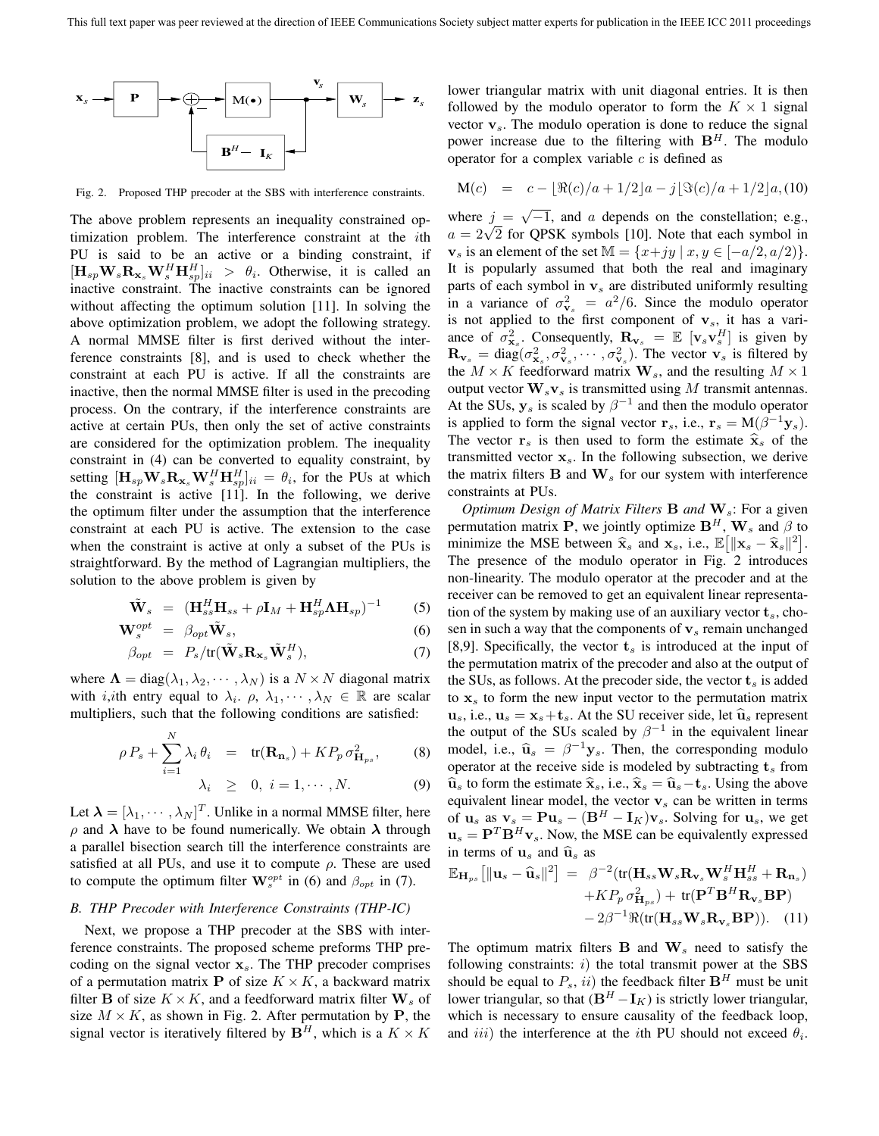

Fig. 2. Proposed THP precoder at the SBS with interference constraints.

The above problem represents an inequality constrained optimization problem. The interference constraint at the ith PU is said to be an active or a binding constraint, if  $[\mathbf{H}_{sp}\mathbf{W}_{s}\mathbf{R}_{\mathbf{x}_{s}}\mathbf{W}_{s}^{H}\mathbf{H}_{sp}^{H}]_{ii} > \theta_{i}$ . Otherwise, it is called an inactive constraint. The inactive constraints can be ignored without affecting the optimum solution [11]. In solving the above optimization problem, we adopt the following strategy. A normal MMSE filter is first derived without the interference constraints [8], and is used to check whether the constraint at each PU is active. If all the constraints are inactive, then the normal MMSE filter is used in the precoding process. On the contrary, if the interference constraints are active at certain PUs, then only the set of active constraints are considered for the optimization problem. The inequality constraint in (4) can be converted to equality constraint, by setting  $[\mathbf{H}_{sp}\mathbf{W}_{s}\mathbf{R}_{\mathbf{x}_{s}}\mathbf{W}_{s}^{H}\mathbf{H}_{sp}^{H}]_{ii} = \theta_{i}$ , for the PUs at which the constraint is active [11]. In the following, we derive the optimum filter under the assumption that the interference constraint at each PU is active. The extension to the case when the constraint is active at only a subset of the PUs is straightforward. By the method of Lagrangian multipliers, the solution to the above problem is given by

$$
\tilde{\mathbf{W}}_s = (\mathbf{H}_{ss}^H \mathbf{H}_{ss} + \rho \mathbf{I}_M + \mathbf{H}_{sp}^H \mathbf{\Lambda} \mathbf{H}_{sp})^{-1}
$$
 (5)

$$
\mathbf{W}_s^{opt} = \beta_{opt} \tilde{\mathbf{W}}_s, \tag{6}
$$

$$
\beta_{opt} = P_s/\text{tr}(\tilde{\mathbf{W}}_s \mathbf{R}_{\mathbf{x}_s} \tilde{\mathbf{W}}_s^H), \tag{7}
$$

where  $\Lambda = \text{diag}(\lambda_1, \lambda_2, \dots, \lambda_N)$  is a  $N \times N$  diagonal matrix with *i*,*i*th entry equal to  $\lambda_i$ .  $\rho$ ,  $\lambda_1$ ,  $\cdots$ ,  $\lambda_N \in \mathbb{R}$  are scalar multipliers, such that the following conditions are satisfied:

$$
\rho P_s + \sum_{i=1}^N \lambda_i \theta_i = \text{tr}(\mathbf{R}_{\mathbf{n}_s}) + K P_p \sigma_{\mathbf{H}_{ps}}^2, \qquad (8)
$$

$$
\lambda_i \geq 0, \ i = 1, \cdots, N. \tag{9}
$$

Let  $\boldsymbol{\lambda} = [\lambda_1, \cdots, \lambda_N]^T$ . Unlike in a normal MMSE filter, here ρ and *λ* have to be found numerically. We obtain *λ* through a parallel bisection search till the interference constraints are satisfied at all PUs, and use it to compute  $\rho$ . These are used to compute the optimum filter  $\mathbf{W}_s^{opt}$  in (6) and  $\beta_{opt}$  in (7).

## *B. THP Precoder with Interference Constraints (THP-IC)*

Next, we propose a THP precoder at the SBS with interference constraints. The proposed scheme preforms THP precoding on the signal vector **x**s. The THP precoder comprises of a permutation matrix **P** of size  $K \times K$ , a backward matrix filter **B** of size  $K \times K$ , and a feedforward matrix filter  $W_s$  of size  $M \times K$ , as shown in Fig. 2. After permutation by **P**, the signal vector is iteratively filtered by  $\mathbf{B}^H$ , which is a  $K \times K$ 

lower triangular matrix with unit diagonal entries. It is then followed by the modulo operator to form the  $K \times 1$  signal vector  $v_s$ . The modulo operation is done to reduce the signal power increase due to the filtering with  $B<sup>H</sup>$ . The modulo operator for a complex variable  $c$  is defined as

$$
M(c) = c - [\Re(c)/a + 1/2]a - j[\Im(c)/a + 1/2]a
$$
, (10)

where  $j = \sqrt{-1}$ , and a depends on the constellation; e.g.,  $a = 2\sqrt{2}$  for QPSK symbols [10]. Note that each symbol in **v**<sub>s</sub> is an element of the set  $\mathbb{M} = \{x+jy \mid x, y \in [-a/2, a/2)\}.$ It is popularly assumed that both the real and imaginary parts of each symbol in  $v<sub>s</sub>$  are distributed uniformly resulting in a variance of  $\sigma_{\mathbf{v}_s}^2 = a^2/6$ . Since the modulo operator is not applied to the first component of  $v_s$ , it has a variance of  $\sigma_{\mathbf{x}_s}^2$ . Consequently,  $\mathbf{R}_{\mathbf{v}_s} = \mathbb{E} [\mathbf{v}_s \mathbf{v}_s^H]$  is given by  $\mathbf{R}_{\mathbf{v}_s} = \text{diag}(\sigma_{\mathbf{x}_s}^2, \sigma_{\mathbf{v}_s}^2, \cdots, \sigma_{\mathbf{v}_s}^2)$ . The vector  $\mathbf{v}_s$  is filtered by the  $M \times K$  feedforward matrix  $\mathbf{W}_s$ , and the resulting  $M \times 1$ output vector  $\mathbf{W}_s \mathbf{v}_s$  is transmitted using M transmit antennas. At the SUs,  $y_s$  is scaled by  $\beta^{-1}$  and then the modulo operator is applied to form the signal vector  $\mathbf{r}_s$ , i.e.,  $\mathbf{r}_s = M(\beta^{-1}\mathbf{y}_s)$ . The vector  $\mathbf{r}_s$  is then used to form the estimate  $\hat{\mathbf{x}}_s$  of the transmitted vector  $x_s$ . In the following subsection, we derive the matrix filters  $\bf{B}$  and  $\bf{W}_{s}$  for our system with interference constraints at PUs.

*Optimum Design of Matrix Filters* **B** *and* **W**s: For a given permutation matrix **P**, we jointly optimize  $\mathbf{B}^H$ ,  $\mathbf{W}_s$  and  $\beta$  to minimize the MSE between  $\hat{\mathbf{x}}_s$  and  $\mathbf{x}_s$ , i.e.,  $\mathbb{E}[\|\mathbf{x}_s - \hat{\mathbf{x}}_s\|^2].$ The presence of the modulo operator in Fig. 2 introduces non-linearity. The modulo operator at the precoder and at the receiver can be removed to get an equivalent linear representation of the system by making use of an auxiliary vector  $t_s$ , chosen in such a way that the components of  $v<sub>s</sub>$  remain unchanged [8,9]. Specifically, the vector  $t_s$  is introduced at the input of the permutation matrix of the precoder and also at the output of the SUs, as follows. At the precoder side, the vector  $t_s$  is added to  $x<sub>s</sub>$  to form the new input vector to the permutation matrix  $\mathbf{u}_s$ , i.e.,  $\mathbf{u}_s = \mathbf{x}_s + \mathbf{t}_s$ . At the SU receiver side, let  $\hat{\mathbf{u}}_s$  represent the output of the SUs scaled by  $\beta^{-1}$  in the equivalent linear model, i.e.,  $\hat{\mathbf{u}}_s = \beta^{-1} \mathbf{y}_s$ . Then, the corresponding modulo operator at the receive side is modeled by subtracting  $t_s$  from  $\hat{\mathbf{u}}_s$  to form the estimate  $\hat{\mathbf{x}}_s$ , i.e.,  $\hat{\mathbf{x}}_s = \hat{\mathbf{u}}_s - \mathbf{t}_s$ . Using the above equivalent linear model, the vector  $v<sub>s</sub>$  can be written in terms of  $\mathbf{u}_s$  as  $\mathbf{v}_s = \mathbf{P}\mathbf{u}_s - (\mathbf{B}^H - \mathbf{I}_K)\mathbf{v}_s$ . Solving for  $\mathbf{u}_s$ , we get  $\mathbf{u}_s = \mathbf{P}^T \mathbf{B}^H \mathbf{v}_s$ . Now, the MSE can be equivalently expressed in terms of  $\mathbf{u}_s$  and  $\widehat{\mathbf{u}}_s$  as

$$
\mathbb{E}_{\mathbf{H}_{ps}}[\|\mathbf{u}_{s} - \widehat{\mathbf{u}}_{s}\|^{2}] = \beta^{-2}(\text{tr}(\mathbf{H}_{ss}\mathbf{W}_{s}\mathbf{R}_{\mathbf{v}_{s}}\mathbf{W}_{s}^{H}\mathbf{H}_{ss}^{H} + \mathbf{R}_{\mathbf{n}_{s}}) + KP_{p}\sigma_{\mathbf{H}_{ps}}^{2}) + \text{tr}(\mathbf{P}^{T}\mathbf{B}^{H}\mathbf{R}_{\mathbf{v}_{s}}\mathbf{B}\mathbf{P}) - 2\beta^{-1}\Re(\text{tr}(\mathbf{H}_{ss}\mathbf{W}_{s}\mathbf{R}_{\mathbf{v}_{s}}\mathbf{B}\mathbf{P})). \quad (11)
$$

The optimum matrix filters  $\bf{B}$  and  $\bf{W}_{s}$  need to satisfy the following constraints:  $i)$  the total transmit power at the SBS should be equal to  $P_s$ , ii) the feedback filter  $\mathbf{B}^H$  must be unit lower triangular, so that  $(\mathbf{B}^H - \mathbf{I}_K)$  is strictly lower triangular, which is necessary to ensure causality of the feedback loop, and *iii*) the interference at the *i*th PU should not exceed  $\theta_i$ .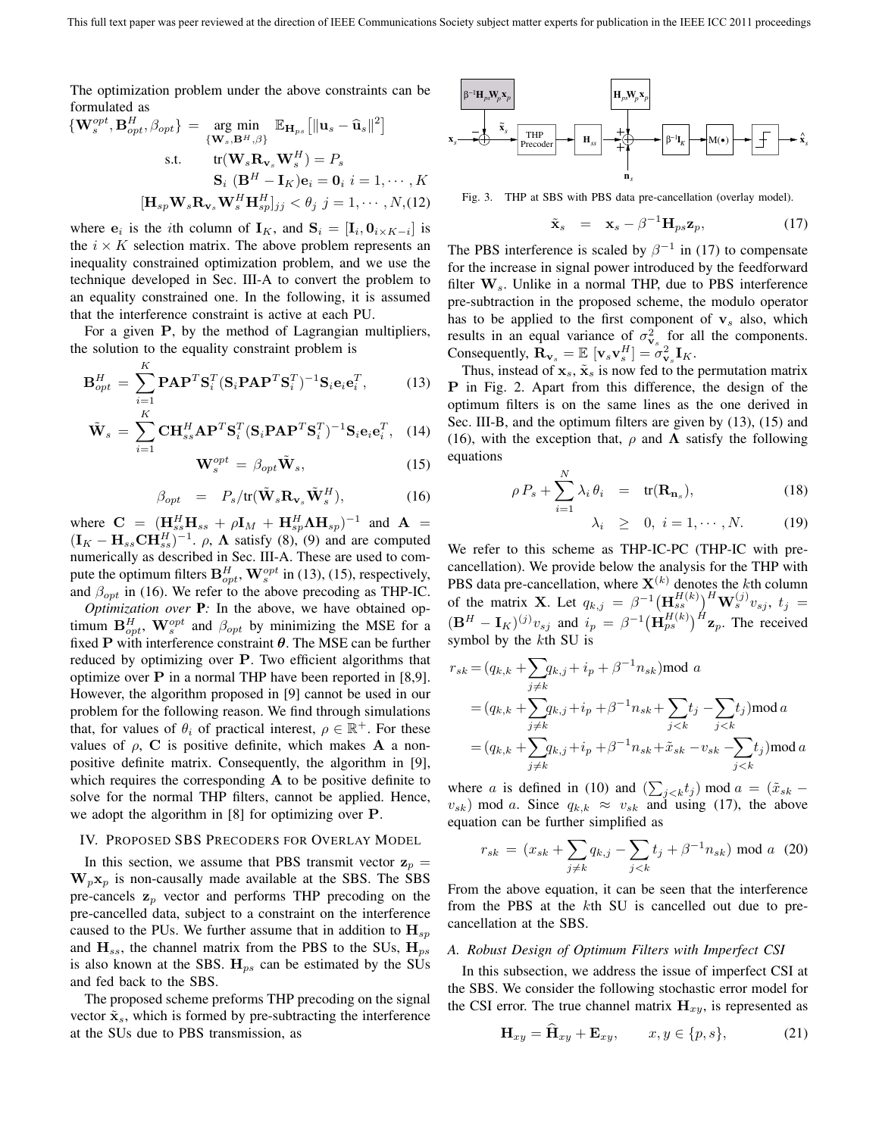The optimization problem under the above constraints can be formulated as

$$
\begin{aligned} \{\mathbf{W}_{s}^{opt}, \mathbf{B}_{opt}^H, \beta_{opt}\} &= \mathop{\arg\min}_{\{\mathbf{W}_s, \mathbf{B}^H, \beta\}} \mathbb{E}_{\mathbf{H}_{ps}} \big[\|\mathbf{u}_s - \widehat{\mathbf{u}}_s\|^2\big] \\ \text{s.t.} \qquad \text{tr}(\mathbf{W}_s \mathbf{R}_{\mathbf{v}_s} \mathbf{W}_s^H) &= P_s \\ \mathbf{S}_i \ (\mathbf{B}^H - \mathbf{I}_K) \mathbf{e}_i = \mathbf{0}_i \ i = 1, \cdots, K \\ [\mathbf{H}_{sp} \mathbf{W}_s \mathbf{R}_{\mathbf{v}_s} \mathbf{W}_s^H \mathbf{H}_{sp}^H]_{jj} &< \theta_j \ j = 1, \cdots, N, (12) \end{aligned}
$$

where  $e_i$  is the *i*th column of  $I_K$ , and  $S_i = [I_i, 0_{i \times K-i}]$  is the  $i \times K$  selection matrix. The above problem represents an inequality constrained optimization problem, and we use the technique developed in Sec. III-A to convert the problem to an equality constrained one. In the following, it is assumed that the interference constraint is active at each PU.

For a given **P**, by the method of Lagrangian multipliers, the solution to the equality constraint problem is

$$
\mathbf{B}_{opt}^H = \sum_{i=1}^K \mathbf{P} \mathbf{A} \mathbf{P}^T \mathbf{S}_i^T (\mathbf{S}_i \mathbf{P} \mathbf{A} \mathbf{P}^T \mathbf{S}_i^T)^{-1} \mathbf{S}_i \mathbf{e}_i \mathbf{e}_i^T, \tag{13}
$$

$$
\tilde{\mathbf{W}}_s = \sum_{i=1}^K \mathbf{C} \mathbf{H}_{ss}^H \mathbf{A} \mathbf{P}^T \mathbf{S}_i^T (\mathbf{S}_i \mathbf{P} \mathbf{A} \mathbf{P}^T \mathbf{S}_i^T)^{-1} \mathbf{S}_i \mathbf{e}_i \mathbf{e}_i^T, \quad (14)
$$

$$
\mathbf{W}_s^{opt} = \beta_{opt} \tilde{\mathbf{W}}_s, \tag{15}
$$

$$
\beta_{opt} = P_s/\text{tr}(\tilde{\mathbf{W}}_s \mathbf{R}_{\mathbf{v}_s} \tilde{\mathbf{W}}_s^H), \tag{16}
$$

where  $\mathbf{C} = (\mathbf{H}_{ss}^H \mathbf{H}_{ss} + \rho \mathbf{I}_M + \mathbf{H}_{sp}^H \mathbf{\Lambda} \mathbf{H}_{sp})^{-1}$  and  $\mathbf{A} =$  $(\mathbf{I}_K - \mathbf{H}_{ss} \mathbf{C} \mathbf{H}_{ss}^H)^{-1}$ .  $\rho$ ,  $\Lambda$  satisfy (8), (9) and are computed numerically as described in Sec. III-A. These are used to compute the optimum filters  $\mathbf{B}_{opt}^H$ ,  $\mathbf{W}_s^{opt}$  in (13), (15), respectively, and  $\beta_{opt}$  in (16). We refer to the above precoding as THP-IC.

*Optimization over* **P***:* In the above, we have obtained optimum  $\mathbf{B}_{opt}^H$ ,  $\mathbf{W}_{s}^{opt}$  and  $\beta_{opt}$  by minimizing the MSE for a fixed **P** with interference constraint *θ*. The MSE can be further reduced by optimizing over **P**. Two efficient algorithms that optimize over **P** in a normal THP have been reported in [8,9]. However, the algorithm proposed in [9] cannot be used in our problem for the following reason. We find through simulations that, for values of  $\theta_i$  of practical interest,  $\rho \in \mathbb{R}^+$ . For these values of  $\rho$ , **C** is positive definite, which makes **A** a nonpositive definite matrix. Consequently, the algorithm in [9], which requires the corresponding **A** to be positive definite to solve for the normal THP filters, cannot be applied. Hence, we adopt the algorithm in [8] for optimizing over **P**.

#### IV. PROPOSED SBS PRECODERS FOR OVERLAY MODEL

In this section, we assume that PBS transmit vector  $z_p =$  $W_p x_p$  is non-causally made available at the SBS. The SBS pre-cancels  $z_p$  vector and performs THP precoding on the pre-cancelled data, subject to a constraint on the interference caused to the PUs. We further assume that in addition to  $\mathbf{H}_{sp}$ and  $H_{ss}$ , the channel matrix from the PBS to the SUs,  $H_{ps}$ is also known at the SBS.  $H_{ps}$  can be estimated by the SUs and fed back to the SBS.

The proposed scheme preforms THP precoding on the signal vector  $\tilde{\mathbf{x}}_s$ , which is formed by pre-subtracting the interference at the SUs due to PBS transmission, as



Fig. 3. THP at SBS with PBS data pre-cancellation (overlay model).

$$
\tilde{\mathbf{x}}_s = \mathbf{x}_s - \beta^{-1} \mathbf{H}_{ps} \mathbf{z}_p, \qquad (17)
$$

The PBS interference is scaled by  $\beta^{-1}$  in (17) to compensate for the increase in signal power introduced by the feedforward filter **W**<sub>s</sub>. Unlike in a normal THP, due to PBS interference pre-subtraction in the proposed scheme, the modulo operator has to be applied to the first component of  $v<sub>s</sub>$  also, which results in an equal variance of  $\sigma_{\mathbf{v}_s}^2$  for all the components. Consequently,  $\mathbf{R}_{\mathbf{v}_s} = \mathbb{E} [\mathbf{v}_s \mathbf{v}_s^H] = \sigma_{\mathbf{v}_s}^2 \mathbf{I}_K$ .

Thus, instead of  $x_s$ ,  $\tilde{x}_s$  is now fed to the permutation matrix **P** in Fig. 2. Apart from this difference, the design of the optimum filters is on the same lines as the one derived in Sec. III-B, and the optimum filters are given by (13), (15) and (16), with the exception that,  $\rho$  and  $\Lambda$  satisfy the following equations

$$
\rho P_s + \sum_{i=1}^{N} \lambda_i \theta_i = \text{tr}(\mathbf{R}_{\mathbf{n}_s}), \qquad (18)
$$

$$
\lambda_i \geq 0, \ i = 1, \cdots, N. \tag{19}
$$

We refer to this scheme as THP-IC-PC (THP-IC with precancellation). We provide below the analysis for the THP with PBS data pre-cancellation, where  $X^{(k)}$  denotes the kth column of the matrix **X**. Let  $q_{k,j} = \beta^{-1} \left( \mathbf{H}_{ss}^{H(k)} \right)^H \mathbf{W}_s^{(j)} v_{sj}$ ,  $t_j =$  $(\mathbf{B}^H - \mathbf{I}_K)^{(j)} v_{sj}$  and  $i_p = \beta^{-1} (\mathbf{H}_{ps}^{H(k)})^H \mathbf{z}_p$ . The received symbol by the kth SU is

$$
r_{sk} = (q_{k,k} + \sum_{j \neq k} q_{k,j} + i_p + \beta^{-1} n_{sk}) \text{mod } a
$$
  
=  $(q_{k,k} + \sum_{j \neq k} q_{k,j} + i_p + \beta^{-1} n_{sk} + \sum_{j < k} t_j - \sum_{j < k} t_j) \text{mod } a$   
=  $(q_{k,k} + \sum_{j \neq k} q_{k,j} + i_p + \beta^{-1} n_{sk} + \tilde{x}_{sk} - v_{sk} - \sum_{j < k} t_j) \text{mod } a$ 

where a is defined in (10) and  $(\sum_{j < k} t_j)$  mod  $a = (\tilde{x}_{sk}$  $v_{sk}$ ) mod a. Since  $q_{k,k} \approx v_{sk}$  and using (17), the above equation can be further simplified as

$$
r_{sk} = (x_{sk} + \sum_{j \neq k} q_{k,j} - \sum_{j < k} t_j + \beta^{-1} n_{sk}) \mod a \quad (20)
$$

From the above equation, it can be seen that the interference from the PBS at the kth SU is cancelled out due to precancellation at the SBS.

#### *A. Robust Design of Optimum Filters with Imperfect CSI*

In this subsection, we address the issue of imperfect CSI at the SBS. We consider the following stochastic error model for the CSI error. The true channel matrix  $\mathbf{H}_{x,y}$ , is represented as

$$
\mathbf{H}_{xy} = \hat{\mathbf{H}}_{xy} + \mathbf{E}_{xy}, \qquad x, y \in \{p, s\},
$$
 (21)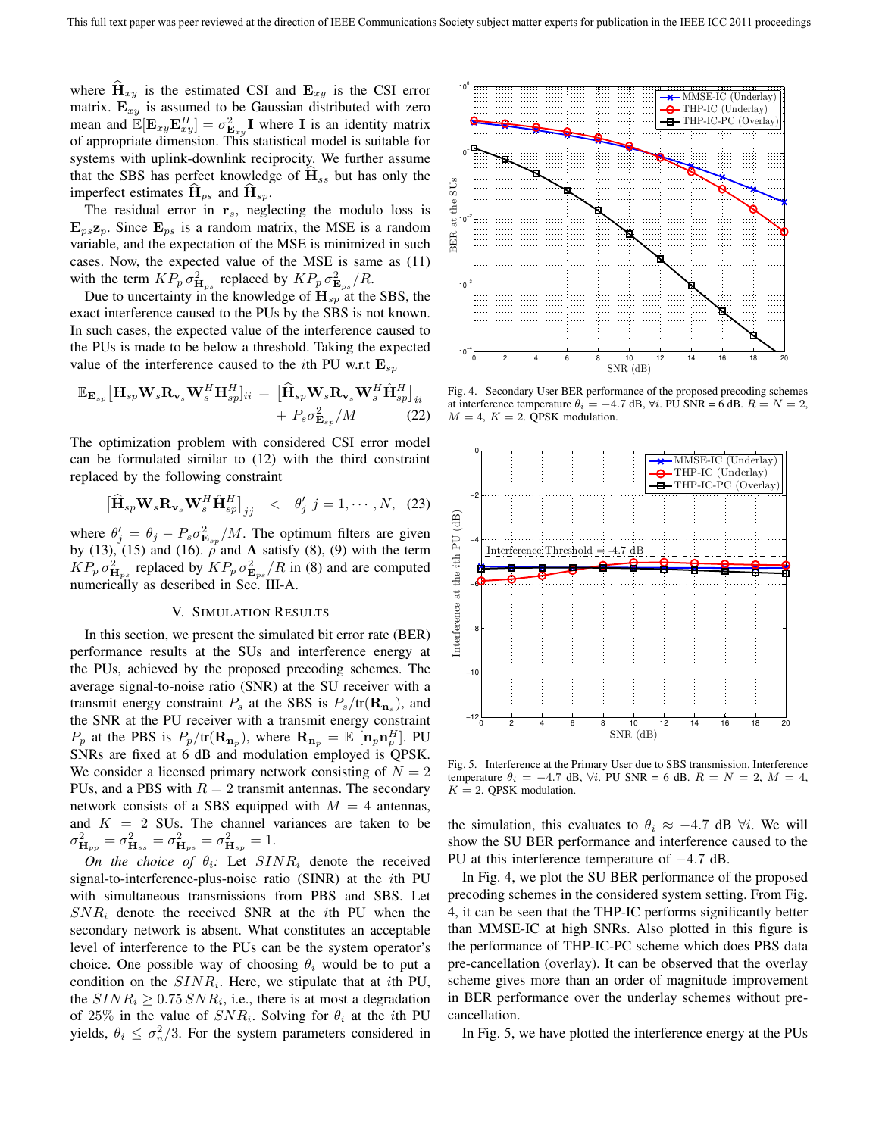where  $H_{xy}$  is the estimated CSI and  $E_{xy}$  is the CSI error matrix.  $\mathbf{E}_{xy}$  is assumed to be Gaussian distributed with zero mean and  $\mathbb{E}[\mathbf{E}_{xy}\mathbf{E}_{xy}^H] = \sigma_{\mathbf{E}_{xy}}^2 \mathbf{I}$  where **I** is an identity matrix of appropriate dimension. This statistical model is suitable for systems with uplink-downlink reciprocity. We further assume that the SBS has perfect knowledge of  $\mathbf{H}_{ss}$  but has only the imperfect estimates  $H_{ps}$  and  $H_{sp}$ .

The residual error in  $r_s$ , neglecting the modulo loss is  $\mathbf{E}_{ps}\mathbf{z}_p$ . Since  $\mathbf{E}_{ps}$  is a random matrix, the MSE is a random variable, and the expectation of the MSE is minimized in such cases. Now, the expected value of the MSE is same as (11) with the term  $KP_p \sigma_{\mathbf{H}_{ps}}^2$  replaced by  $KP_p \sigma_{\mathbf{E}_{ps}}^2/R$ .

Due to uncertainty in the knowledge of  $\mathbf{H}_{sp}$  at the SBS, the exact interference caused to the PUs by the SBS is not known. In such cases, the expected value of the interference caused to the PUs is made to be below a threshold. Taking the expected value of the interference caused to the *i*th PU w.r.t  $\mathbf{E}_{sp}$ 

$$
\mathbb{E}_{\mathbf{E}_{sp}}\big[\mathbf{H}_{sp}\mathbf{W}_{s}\mathbf{R}_{\mathbf{v}_{s}}\mathbf{W}_{s}^{H}\mathbf{H}_{sp}^{H}\big]_{ii} = \big[\widehat{\mathbf{H}}_{sp}\mathbf{W}_{s}\mathbf{R}_{\mathbf{v}_{s}}\mathbf{W}_{s}^{H}\widehat{\mathbf{H}}_{sp}^{H}\big]_{ii} + P_{s}\sigma_{\mathbf{E}_{sp}}^{2}/M
$$
(22)

The optimization problem with considered CSI error model can be formulated similar to (12) with the third constraint replaced by the following constraint

$$
\left[\widehat{\mathbf{H}}_{sp}\mathbf{W}_{s}\mathbf{R}_{\mathbf{v}_{s}}\mathbf{W}_{s}^{H}\widehat{\mathbf{H}}_{sp}^{H}\right]_{jj} \quad \langle \quad \theta_{j}' \ j=1,\cdots,N, \quad (23)
$$

where  $\theta'_{j} = \theta_{j} - P_{s}\sigma_{\mathbf{E}_{sp}}^{2}/M$ . The optimum filters are given by (13), (15) and (16).  $\rho$  and  $\Lambda$  satisfy (8), (9) with the term  $KP_p \, \sigma_{\mathbf{H}_{ps}}^2$  replaced by  $KP_p \, \sigma_{\mathbf{E}_{ps}}^2/R$  in (8) and are computed numerically as described in Sec. III-A.

# V. SIMULATION RESULTS

In this section, we present the simulated bit error rate (BER) performance results at the SUs and interference energy at the PUs, achieved by the proposed precoding schemes. The average signal-to-noise ratio (SNR) at the SU receiver with a transmit energy constraint  $P_s$  at the SBS is  $P_s/\text{tr}(\mathbf{R}_{\mathbf{n}_s})$ , and the SNR at the PU receiver with a transmit energy constraint  $P_p$  at the PBS is  $P_p/\text{tr}(\mathbf{R}_{\mathbf{n}_p})$ , where  $\mathbf{R}_{\mathbf{n}_p} = \mathbb{E}[\mathbf{n}_p \mathbf{n}_p^H]$ . PU SNRs are fixed at 6 dB and modulation employed is QPSK. We consider a licensed primary network consisting of  $N = 2$ PUs, and a PBS with  $R = 2$  transmit antennas. The secondary network consists of a SBS equipped with  $M = 4$  antennas, and  $K = 2$  SUs. The channel variances are taken to be  $\sigma^2_{{\bf H}_{pp}} = \sigma^2_{{\bf H}_{ss}} = \sigma^2_{{\bf H}_{ps}} = \sigma^2_{{\bf H}_{sp}} = 1.$ 

*On the choice of*  $\theta_i$ : Let  $SINR_i$  denote the received signal-to-interference-plus-noise ratio (SINR) at the *i*th PU with simultaneous transmissions from PBS and SBS. Let  $SNR_i$  denote the received SNR at the *i*th PU when the secondary network is absent. What constitutes an acceptable level of interference to the PUs can be the system operator's choice. One possible way of choosing  $\theta_i$  would be to put a condition on the  $SINR_i$ . Here, we stipulate that at ith PU, the  $SINR_i \geq 0.75 SNR_i$ , i.e., there is at most a degradation of 25% in the value of  $SNR_i$ . Solving for  $\theta_i$  at the *i*th PU yields,  $\theta_i \leq \sigma_n^2/3$ . For the system parameters considered in



Fig. 4. Secondary User BER performance of the proposed precoding schemes at interference temperature  $\theta_i = -4.7$  dB,  $\forall i$ . PU SNR = 6 dB.  $R = N = 2$ ,  $M = 4$ ,  $K = 2$ . QPSK modulation.



Fig. 5. Interference at the Primary User due to SBS transmission. Interference temperature  $\theta_i = -4.7$  dB,  $\forall i$ . PU SNR = 6 dB.  $R = N = 2$ ,  $M = 4$ ,  $K = 2$ . QPSK modulation.

the simulation, this evaluates to  $\theta_i \approx -4.7$  dB  $\forall i$ . We will show the SU BER performance and interference caused to the PU at this interference temperature of −4.7 dB.

In Fig. 4, we plot the SU BER performance of the proposed precoding schemes in the considered system setting. From Fig. 4, it can be seen that the THP-IC performs significantly better than MMSE-IC at high SNRs. Also plotted in this figure is the performance of THP-IC-PC scheme which does PBS data pre-cancellation (overlay). It can be observed that the overlay scheme gives more than an order of magnitude improvement in BER performance over the underlay schemes without precancellation.

In Fig. 5, we have plotted the interference energy at the PUs